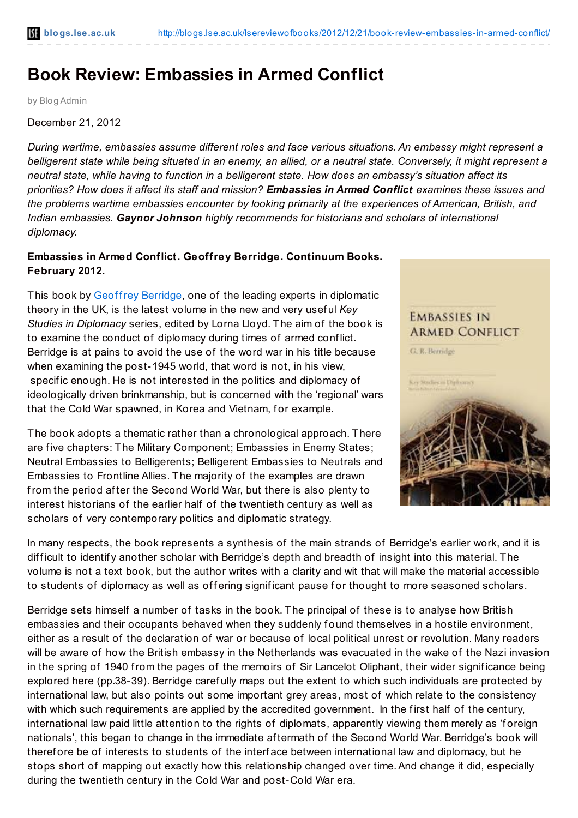## **Book Review: Embassies in Armed Conflict**

by Blog Admin

December 21, 2012

*During wartime, embassies assume different roles and face various situations. An embassy might represent a* belligerent state while being situated in an enemy, an allied, or a neutral state. Conversely, it might represent a neutral state, while having to function in a belligerent state. How does an embassy's situation affect its priorities? How does it affect its staff and mission? Embassies in Armed Conflict examines these issues and *the problems wartime embassies encounter by looking primarily at the experiences of American, British, and Indian embassies. Gaynor Johnson highly recommends for historians and scholars of international diplomacy.*

## **Embassies in Armed Conflict. Geoffrey Berridge. Continuum Books. February 2012.**

This book by Geoffrey [Berridge](http://grberridge.diplomacy.edu/), one of the leading experts in diplomatic theory in the UK, is the latest volume in the new and very usef ul *Key Studies in Diplomacy* series, edited by Lorna Lloyd. The aim of the book is to examine the conduct of diplomacy during times of armed conf lict. Berridge is at pains to avoid the use of the word war in his title because when examining the post-1945 world, that word is not, in his view, specif ic enough. He is not interested in the politics and diplomacy of ideologically driven brinkmanship, but is concerned with the 'regional' wars that the Cold War spawned, in Korea and Vietnam, for example.

The book adopts a thematic rather than a chronological approach. There are five chapters: The Military Component; Embassies in Enemy States; Neutral Embassies to Belligerents; Belligerent Embassies to Neutrals and Embassies to Frontline Allies. The majority of the examples are drawn from the period af ter the Second World War, but there is also plenty to interest historians of the earlier half of the twentieth century as well as scholars of very contemporary politics and diplomatic strategy.



In many respects, the book represents a synthesis of the main strands of Berridge's earlier work, and it is difficult to identify another scholar with Berridge's depth and breadth of insight into this material. The volume is not a text book, but the author writes with a clarity and wit that will make the material accessible to students of diplomacy as well as offering significant pause for thought to more seasoned scholars.

Berridge sets himself a number of tasks in the book. The principal of these is to analyse how British embassies and their occupants behaved when they suddenly found themselves in a hostile environment, either as a result of the declaration of war or because of local political unrest or revolution. Many readers will be aware of how the British embassy in the Netherlands was evacuated in the wake of the Nazi invasion in the spring of 1940 from the pages of the memoirs of Sir Lancelot Oliphant, their wider signif icance being explored here (pp.38-39). Berridge caref ully maps out the extent to which such individuals are protected by international law, but also points out some important grey areas, most of which relate to the consistency with which such requirements are applied by the accredited government. In the first half of the century, international law paid little attention to the rights of diplomats, apparently viewing them merely as 'f oreign nationals', this began to change in the immediate af termath of the Second World War. Berridge's book will theref ore be of interests to students of the interf ace between international law and diplomacy, but he stops short of mapping out exactly how this relationship changed over time.And change it did, especially during the twentieth century in the Cold War and post-Cold War era.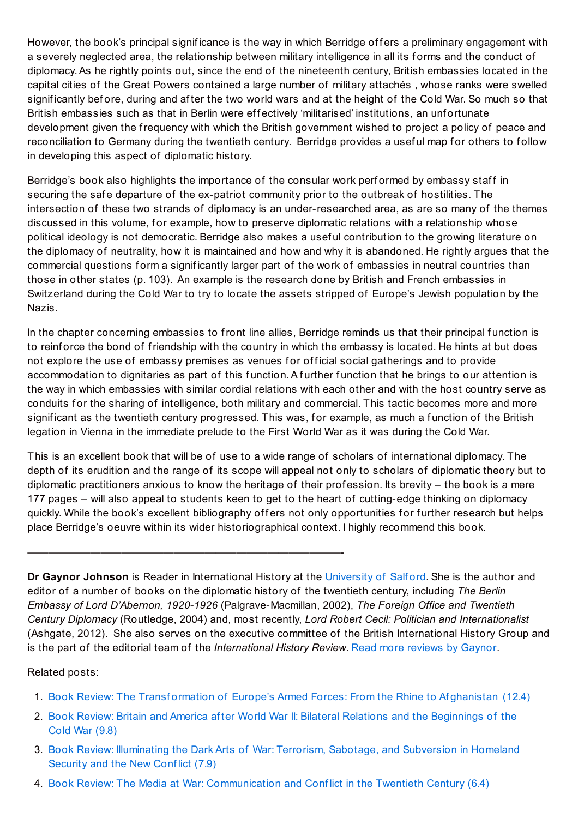However, the book's principal significance is the way in which Berridge offers a preliminary engagement with a severely neglected area, the relationship between military intelligence in all its forms and the conduct of diplomacy.As he rightly points out, since the end of the nineteenth century, British embassies located in the capital cities of the Great Powers contained a large number of military attachés , whose ranks were swelled significantly before, during and after the two world wars and at the height of the Cold War. So much so that British embassies such as that in Berlin were effectively 'militarised' institutions, an unfortunate development given the frequency with which the British government wished to project a policy of peace and reconciliation to Germany during the twentieth century. Berridge provides a useful map for others to follow in developing this aspect of diplomatic history.

Berridge's book also highlights the importance of the consular work performed by embassy staff in securing the safe departure of the ex-patriot community prior to the outbreak of hostilities. The intersection of these two strands of diplomacy is an under-researched area, as are so many of the themes discussed in this volume, for example, how to preserve diplomatic relations with a relationship whose political ideology is not democratic. Berridge also makes a usef ul contribution to the growing literature on the diplomacy of neutrality, how it is maintained and how and why it is abandoned. He rightly argues that the commercial questions form a significantly larger part of the work of embassies in neutral countries than those in other states (p. 103). An example is the research done by British and French embassies in Switzerland during the Cold War to try to locate the assets stripped of Europe's Jewish population by the Nazis.

In the chapter concerning embassies to front line allies, Berridge reminds us that their principal function is to reinforce the bond of friendship with the country in which the embassy is located. He hints at but does not explore the use of embassy premises as venues for official social gatherings and to provide accommodation to dignitaries as part of this function. A further function that he brings to our attention is the way in which embassies with similar cordial relations with each other and with the host country serve as conduits for the sharing of intelligence, both military and commercial. This tactic becomes more and more significant as the twentieth century progressed. This was, for example, as much a function of the British legation in Vienna in the immediate prelude to the First World War as it was during the Cold War.

This is an excellent book that will be of use to a wide range of scholars of international diplomacy. The depth of its erudition and the range of its scope will appeal not only to scholars of diplomatic theory but to diplomatic practitioners anxious to know the heritage of their profession. Its brevity – the book is a mere 177 pages – will also appeal to students keen to get to the heart of cutting-edge thinking on diplomacy quickly. While the book's excellent bibliography offers not only opportunities for further research but helps place Berridge's oeuvre within its wider historiographical context. I highly recommend this book.

——————————————————————————————-

**Dr Gaynor Johnson** is Reader in International History at the [University](http://www.seek.salford.ac.uk/profiles/GJOHNSON.jsp) of Salf ord. She is the author and editor of a number of books on the diplomatic history of the twentieth century, including *The Berlin Embassy of Lord D'Abernon, 1920-1926* (Palgrave-Macmillan, 2002), *The Foreign Office and Twentieth Century Diplomacy* (Routledge, 2004) and, most recently, *Lord Robert Cecil: Politician and Internationalist* (Ashgate, 2012). She also serves on the executive committee of the British International History Group and is the part of the editorial team of the *International History Review*. Read more [reviews](http://blogs.lse.ac.uk/lsereviewofbooks/category/book-reviewers/gaynor-johnson/) by Gaynor.

## Related posts:

- 1. Book Review: The Transformation of Europe's Armed Forces: From the Rhine to Af[ghanistan](http://blogs.lse.ac.uk/lsereviewofbooks/2012/09/12/book-review-transforming-europes-armed-forces/) (12.4)
- 2. Book Review: Britain and America af ter World War II: Bilateral Relations and the [Beginnings](http://blogs.lse.ac.uk/lsereviewofbooks/2012/08/24/britain-and-america-after-world-war-ii-bilateral-relations-and-the-beginnings-of-the-cold-war-by-richard-wevill/) of the Cold War (9.8)
- 3. Book Review: Illuminating the Dark Arts of War: Terrorism, Sabotage, and [Subversion](http://blogs.lse.ac.uk/lsereviewofbooks/2012/12/11/book-review-illuminating-the-dark-arts-of-war/) in Homeland Security and the New Conflict (7.9)
- 4. Book Review: The Media at War: [Communication](http://blogs.lse.ac.uk/lsereviewofbooks/2012/07/07/book-review-the-media-at-war-communication-and-conflict-in-the-twentieth-century/) and Conf lict in the Twentieth Century (6.4)